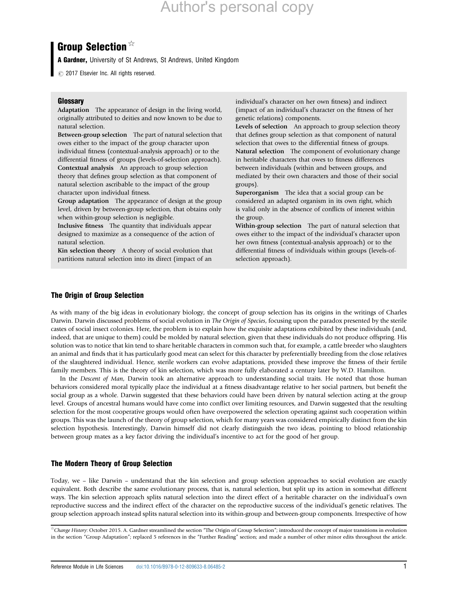# Author's personal copy

# Group Selection  $*$

A Gardner, University of St Andrews, St Andrews, United Kingdom

 $\odot$  2017 Elsevier Inc. All rights reserved.

# **Glossary**

Adaptation The appearance of design in the living world, originally attributed to deities and now known to be due to natural selection.

Between-group selection The part of natural selection that owes either to the impact of the group character upon individual fitness (contextual-analysis approach) or to the differential fitness of groups (levels-of-selection approach). Contextual analysis An approach to group selection theory that defines group selection as that component of natural selection ascribable to the impact of the group character upon individual fitness.

Group adaptation The appearance of design at the group level, driven by between-group selection, that obtains only when within-group selection is negligible.

Inclusive fitness The quantity that individuals appear designed to maximize as a consequence of the action of natural selection.

Kin selection theory A theory of social evolution that partitions natural selection into its direct (impact of an

individual's character on her own fitness) and indirect (impact of an individual's character on the fitness of her genetic relations) components.

Levels of selection An approach to group selection theory that defines group selection as that component of natural selection that owes to the differential fitness of groups. Natural selection The component of evolutionary change in heritable characters that owes to fitness differences between individuals (within and between groups, and mediated by their own characters and those of their social groups).

Superorganism The idea that a social group can be considered an adapted organism in its own right, which is valid only in the absence of conflicts of interest within the group.

Within-group selection The part of natural selection that owes either to the impact of the individual's character upon her own fitness (contextual-analysis approach) or to the differential fitness of individuals within groups (levels-ofselection approach).

# The Origin of Group Selection

As with many of the big ideas in evolutionary biology, the concept of group selection has its origins in the writings of Charles Darwin. Darwin discussed problems of social evolution in The Origin of Species, focusing upon the paradox presented by the sterile castes of social insect colonies. Here, the problem is to explain how the exquisite adaptations exhibited by these individuals (and, indeed, that are unique to them) could be molded by natural selection, given that these individuals do not produce offspring. His solution was to notice that kin tend to share heritable characters in common such that, for example, a cattle breeder who slaughters an animal and finds that it has particularly good meat can select for this character by preferentially breeding from the close relatives of the slaughtered individual. Hence, sterile workers can evolve adaptations, provided these improve the fitness of their fertile family members. This is the theory of kin selection, which was more fully elaborated a century later by W.D. Hamilton.

In the Descent of Man, Darwin took an alternative approach to understanding social traits. He noted that those human behaviors considered moral typically place the individual at a fitness disadvantage relative to her social partners, but benefit the social group as a whole. Darwin suggested that these behaviors could have been driven by natural selection acting at the group level. Groups of ancestral humans would have come into conflict over limiting resources, and Darwin suggested that the resulting selection for the most cooperative groups would often have overpowered the selection operating against such cooperation within groups. This was the launch of the theory of group selection, which for many years was considered empirically distinct from the kin selection hypothesis. Interestingly, Darwin himself did not clearly distinguish the two ideas, pointing to blood relationship between group mates as a key factor driving the individual's incentive to act for the good of her group.

# The Modern Theory of Group Selection

Today, we – like Darwin – understand that the kin selection and group selection approaches to social evolution are exactly equivalent. Both describe the same evolutionary process, that is, natural selection, but split up its action in somewhat different ways. The kin selection approach splits natural selection into the direct effect of a heritable character on the individual's own reproductive success and the indirect effect of the character on the reproductive success of the individual's genetic relatives. The group selection approach instead splits natural selection into its within-group and between-group components. Irrespective of how

<sup>\*</sup>Change History: October 2015. A. Gardner streamlined the section "The Origin of Group Selection"; introduced the concept of major transitions in evolution<br>in the section "Croup Adaptation"; replaced 5 references in the "E in the section "Group Adaptation"; replaced 5 references in the "Further Reading" section; and made a number of other minor edits throughout the article.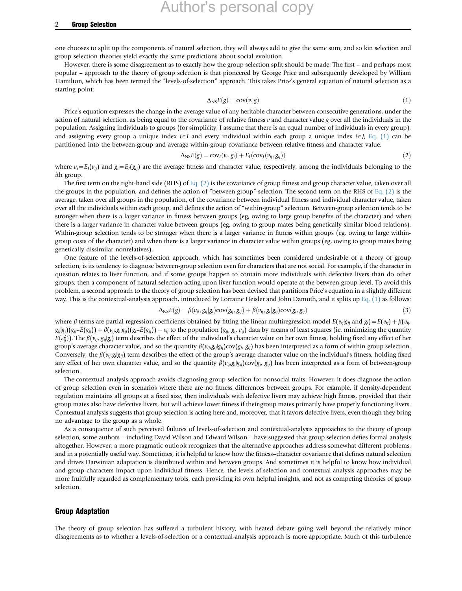#### 2 Group Selection

one chooses to split up the components of natural selection, they will always add to give the same sum, and so kin selection and group selection theories yield exactly the same predictions about social evolution.

However, there is some disagreement as to exactly how the group selection split should be made. The first – and perhaps most popular – approach to the theory of group selection is that pioneered by George Price and subsequently developed by William Hamilton, which has been termed the "levels-of-selection" approach. This takes Price's general equation of natural selection as a starting point:

$$
\Delta_{\text{NS}}E(g) = \text{cov}(\nu, g) \tag{1}
$$

Price's equation expresses the change in the average value of any heritable character between consecutive generations, under the action of natural selection, as being equal to the covariance of relative fitness  $\nu$  and character value g over all the individuals in the population. Assigning individuals to groups (for simplicity, I assume that there is an equal number of individuals in every group), and assigning every group a unique index  $i \in I$  and every individual within each group a unique index  $i \in J$ , Eq. (1) can be partitioned into the between-group and average within-group covariance between relative fitness and character value:

$$
\Delta_{\text{NS}}E(g) = \text{cov}_I(v_i, g_i) + E_I(\text{cov}_J(v_{ij}, g_{ij}))
$$
\n(2)

where  $v_i = E_J(v_i)$  and  $g_i = E_J(g_i)$  are the average fitness and character value, respectively, among the individuals belonging to the ith group.

The first term on the right-hand side (RHS) of Eq. (2) is the covariance of group fitness and group character value, taken over all the groups in the population, and defines the action of "between-group" selection. The second term on the RHS of Eq. (2) is the average, taken over all groups in the population, of the covariance between individual fitness and individual character value, taken over all the individuals within each group, and defines the action of "within-group" selection. Between-group selection tends to be stronger when there is a larger variance in fitness between groups (eg, owing to large group benefits of the character) and when there is a larger variance in character value between groups (eg, owing to group mates being genetically similar blood relations). Within-group selection tends to be stronger when there is a larger variance in fitness within groups (eg, owing to large withingroup costs of the character) and when there is a larger variance in character value within groups (eg, owing to group mates being genetically dissimilar nonrelatives).

One feature of the levels-of-selection approach, which has sometimes been considered undesirable of a theory of group selection, is its tendency to diagnose between-group selection even for characters that are not social. For example, if the character in question relates to liver function, and if some groups happen to contain more individuals with defective livers than do other groups, then a component of natural selection acting upon liver function would operate at the between-group level. To avoid this problem, a second approach to the theory of group selection has been devised that partitions Price's equation in a slightly different way. This is the contextual-analysis approach, introduced by Lorraine Heisler and John Damuth, and it splits up Eq. (1) as follows:

$$
\Delta_{\text{NS}}E(g) = \beta(v_{ij}, g_{ij}|g_i)\text{cov}(g_{ij}, g_{ij}) + \beta(v_{ij}, g_i|g_{ij})\text{cov}(g_i, g_{ij})
$$
\n(3)

where  $\beta$  terms are partial regression coefficients obtained by fitting the linear multiregression model  $E(v_{ij}|g_{ij}$  and  $g_i) = E(v_{ij}) + \beta(v_{ij} + \beta(v_{ij} + \beta(v_{ij})))$  $g_{ij}|g_{ij}|(g_{ij}-E(g_{ij})) + \beta(\nu_{ij},g_{i}|g_{ij})(g_i-E(g_{ij})) + \epsilon_{ij}$  to the population  $(g_{ij}, g_i, \nu_{ij})$  data by means of least squares (ie, minimizing the quantity  $E(c^2)$ ). The  $g(u, a | a)$  term describes the offert of the individual's characte  $E(\varepsilon_{ij}^2)$ ). The  $\beta(v_{ij}, g_{ij}|g_i)$  term describes the effect of the individual's character value on her own fitness, holding fixed any effect of her original property of the strater value and so the quantity  $\beta(u, g, g)$  h group's average character value, and so the quantity  $\beta(v_{ii},g_{ii}g_{ii})\text{cov}(g_i,g_{ii})$  has been interpreted as a form of within-group selection. Conversely, the  $\beta(v_{ij},g_i|g_{ij})$  term describes the effect of the group's average character value on the individual's fitness, holding fixed any effect of her own character value, and so the quantity  $\beta(v_{ij},g_{ij})$ cov $(g_i, g_{ij})$  has been interpreted as a form of between-group selection.

The contextual-analysis approach avoids diagnosing group selection for nonsocial traits. However, it does diagnose the action of group selection even in scenarios where there are no fitness differences between groups. For example, if density-dependent regulation maintains all groups at a fixed size, then individuals with defective livers may achieve high fitness, provided that their group mates also have defective livers, but will achieve lower fitness if their group mates primarily have properly functioning livers. Contextual analysis suggests that group selection is acting here and, moreover, that it favors defective livers, even though they bring no advantage to the group as a whole.

As a consequence of such perceived failures of levels-of-selection and contextual-analysis approaches to the theory of group selection, some authors – including David Wilson and Edward Wilson – have suggested that group selection defies formal analysis altogether. However, a more pragmatic outlook recognizes that the alternative approaches address somewhat different problems, and in a potentially useful way. Sometimes, it is helpful to know how the fitness–character covariance that defines natural selection and drives Darwinian adaptation is distributed within and between groups. And sometimes it is helpful to know how individual and group characters impact upon individual fitness. Hence, the levels-of-selection and contextual-analysis approaches may be more fruitfully regarded as complementary tools, each providing its own helpful insights, and not as competing theories of group selection.

#### Group Adaptation

The theory of group selection has suffered a turbulent history, with heated debate going well beyond the relatively minor disagreements as to whether a levels-of-selection or a contextual-analysis approach is more appropriate. Much of this turbulence